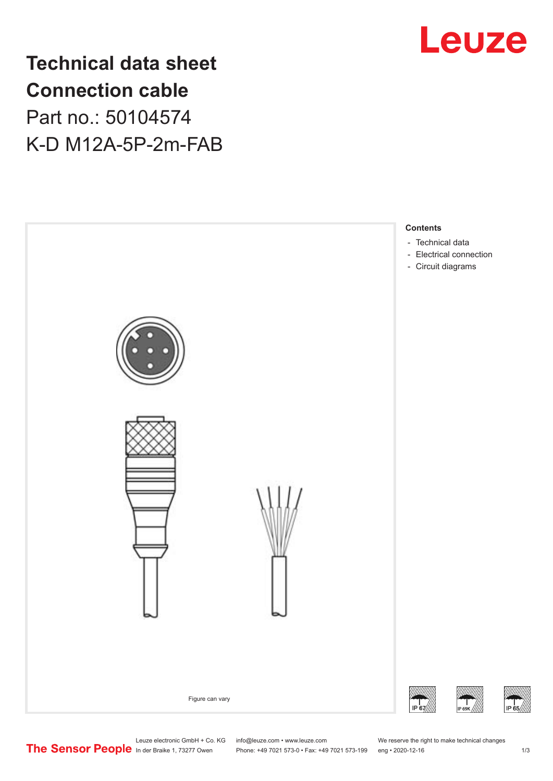

# **Technical data sheet Connection cable** Part no.: 50104574 K-D M12A-5P-2m-FAB



Leuze electronic GmbH + Co. KG info@leuze.com • www.leuze.com We reserve the right to make technical changes<br>
The Sensor People in der Braike 1, 73277 Owen Phone: +49 7021 573-0 • Fax: +49 7021 573-199 eng • 2020-12-16

Phone: +49 7021 573-0 • Fax: +49 7021 573-199 eng • 2020-12-16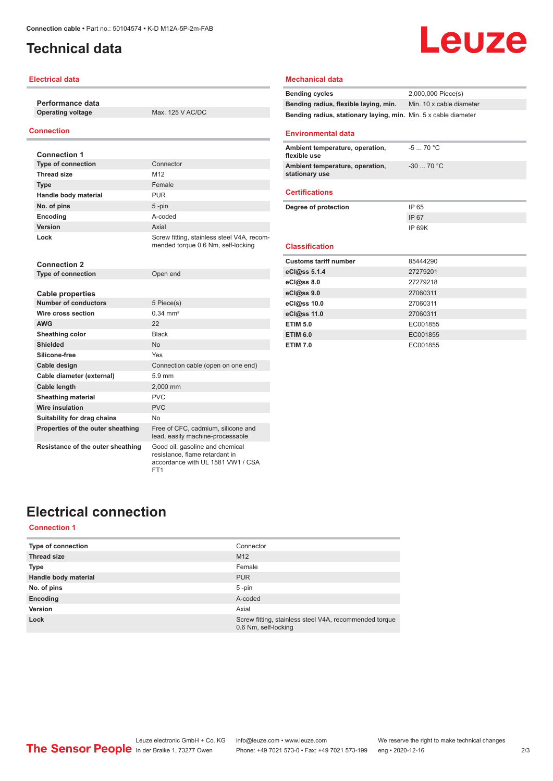### <span id="page-1-0"></span>**Technical data**

#### **Electrical data**

**Performance data Operating voltage** Max. 125 V AC/DC

### **Connection**

| <b>Connection 1</b>               |                                                                                  |
|-----------------------------------|----------------------------------------------------------------------------------|
| <b>Type of connection</b>         | Connector                                                                        |
| <b>Thread size</b>                | M12                                                                              |
| <b>Type</b>                       | Female                                                                           |
| Handle body material              | <b>PUR</b>                                                                       |
| No. of pins                       | 5-pin                                                                            |
| Encoding                          | A-coded                                                                          |
| Version                           | Axial                                                                            |
| Lock                              | Screw fitting, stainless steel V4A, recom-<br>mended torque 0.6 Nm, self-locking |
| <b>Connection 2</b>               |                                                                                  |
| <b>Type of connection</b>         | Open end                                                                         |
| <b>Cable properties</b>           |                                                                                  |
| Number of conductors              | 5 Piece(s)                                                                       |
| Wire cross section                | $0.34 \, \text{mm}^2$                                                            |
| <b>AWG</b>                        | 22                                                                               |
| Sheathing color                   | <b>Black</b>                                                                     |
| <b>Shielded</b>                   | <b>No</b>                                                                        |
| Silicone-free                     | Yes                                                                              |
| Cable design                      | Connection cable (open on one end)                                               |
| Cable diameter (external)         | 5.9 mm                                                                           |
| <b>Cable length</b>               | 2,000 mm                                                                         |
| <b>Sheathing material</b>         | <b>PVC</b>                                                                       |
| <b>Wire insulation</b>            | <b>PVC</b>                                                                       |
| Suitability for drag chains       | No.                                                                              |
| Properties of the outer sheathing | Free of CFC, cadmium, silicone and<br>lead, easily machine-processable           |
| Resistance of the outer sheathing | Good oil, gasoline and chemical                                                  |

ET<sub>1</sub>

### **Mechanical data**

Leuze

#### **Environmental data**

| Ambient temperature, operation,<br>flexible use   | $-570 °C$     |
|---------------------------------------------------|---------------|
| Ambient temperature, operation,<br>stationary use | $-3070 °C$    |
| <b>Certifications</b>                             |               |
| Degree of protection                              | IP 65         |
|                                                   | IP 67         |
|                                                   | <b>IP 69K</b> |

#### **Classification**

| <b>Customs tariff number</b> | 85444290 |
|------------------------------|----------|
| eCl@ss 5.1.4                 | 27279201 |
| eCl@ss 8.0                   | 27279218 |
| eCl@ss 9.0                   | 27060311 |
| eCl@ss 10.0                  | 27060311 |
| eCl@ss 11.0                  | 27060311 |
| <b>ETIM 5.0</b>              | EC001855 |
| <b>ETIM 6.0</b>              | EC001855 |
| <b>ETIM 7.0</b>              | EC001855 |

### **Electrical connection**

### **Connection 1**

| <b>Type of connection</b> | Connector                                                                      |
|---------------------------|--------------------------------------------------------------------------------|
| <b>Thread size</b>        | M <sub>12</sub>                                                                |
| <b>Type</b>               | Female                                                                         |
| Handle body material      | <b>PUR</b>                                                                     |
| No. of pins               | 5-pin                                                                          |
| Encoding                  | A-coded                                                                        |
| Version                   | Axial                                                                          |
| Lock                      | Screw fitting, stainless steel V4A, recommended torque<br>0.6 Nm, self-locking |

resistance, flame retardant in accordance with UL 1581 VW1 / CSA